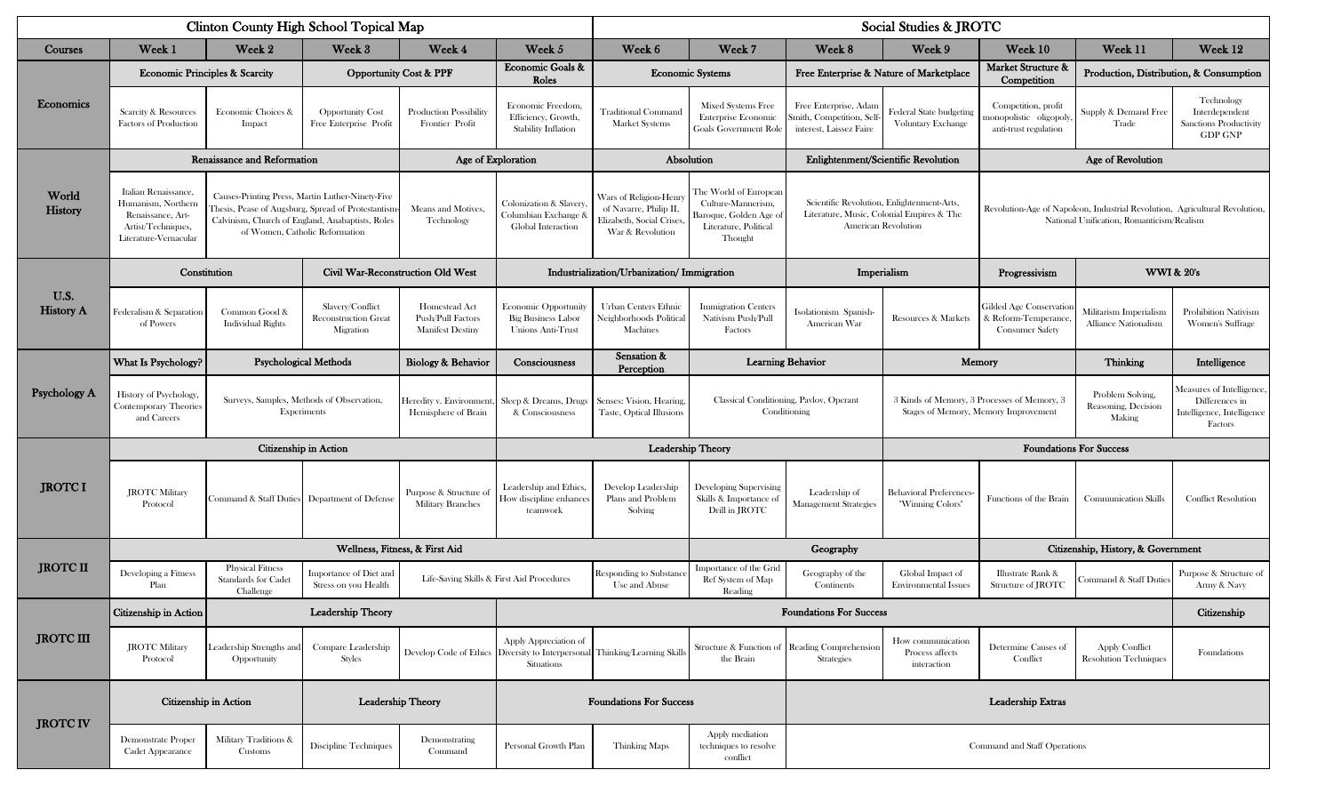|                          |                                                                                                                                                                                                                                                                                                                | <b>Clinton County High School Topical Map</b>               |                                                              |                                                                      |                                                                                                   | Social Studies & JROTC                                                                                   |                                                                                                                       |                                                                              |                                                                                                                          |                                                                                     |                                                       |                                                                                     |  |
|--------------------------|----------------------------------------------------------------------------------------------------------------------------------------------------------------------------------------------------------------------------------------------------------------------------------------------------------------|-------------------------------------------------------------|--------------------------------------------------------------|----------------------------------------------------------------------|---------------------------------------------------------------------------------------------------|----------------------------------------------------------------------------------------------------------|-----------------------------------------------------------------------------------------------------------------------|------------------------------------------------------------------------------|--------------------------------------------------------------------------------------------------------------------------|-------------------------------------------------------------------------------------|-------------------------------------------------------|-------------------------------------------------------------------------------------|--|
| Courses                  | Week 1                                                                                                                                                                                                                                                                                                         | Week 2                                                      | Week 3                                                       | Week 4                                                               | Week 5                                                                                            | Week 6                                                                                                   | Week 7                                                                                                                | Week 8                                                                       | Week 9                                                                                                                   | Week 10                                                                             | Week 11                                               | Week 12                                                                             |  |
| <b>Economics</b>         | <b>Economic Principles &amp; Scarcity</b>                                                                                                                                                                                                                                                                      |                                                             | <b>Opportunity Cost &amp; PPF</b>                            |                                                                      | Economic Goals &<br>Roles                                                                         | <b>Economic Systems</b>                                                                                  |                                                                                                                       | Free Enterprise & Nature of Marketplace                                      |                                                                                                                          | Market Structure &<br>Competition                                                   |                                                       | Production, Distribution, & Consumption                                             |  |
|                          | <b>Scarcity &amp; Resources</b><br><b>Factors of Production</b>                                                                                                                                                                                                                                                | Economic Choices &<br>Impact                                | <b>Opportunity Cost</b><br>Free Enterprise Profit            | <b>Production Possibility</b><br>Frontier Profit                     | Economic Freedom.<br>Efficiency, Growth,<br>Stability Inflation                                   | <b>Traditional Command</b><br><b>Market Systems</b>                                                      | Mixed Systems Free<br>Enterprise Economic<br>Goals Government Role                                                    | Free Enterprise, Adan<br>Smith, Competition, Self<br>interest, Laissez Faire | Federal State budgeting<br>Voluntary Exchange                                                                            | Competition, profit<br>monopolistic oligopoly<br>anti-trust regulation              | Supply & Demand Free<br>Trade                         | Technology<br>Interdependent<br>Sanctions Productivity<br><b>GDP GNP</b>            |  |
| World<br>History         | <b>Renaissance and Reformation</b>                                                                                                                                                                                                                                                                             |                                                             |                                                              | Age of Exploration                                                   |                                                                                                   | Absolution                                                                                               |                                                                                                                       | Enlightenment/Scientific Revolution                                          |                                                                                                                          |                                                                                     |                                                       |                                                                                     |  |
|                          | Italian Renaissance,<br>Causes-Printing Press, Martin Luther-Ninety-Five<br>Humanism, Northern<br>Thesis, Pease of Augsburg, Spread of Protestantism<br>Renaissance, Art-<br>Calvinism, Church of England, Anabaptists, Roles<br>Artist/Techniques,<br>of Women, Catholic Reformation<br>Literature-Vernacular |                                                             | Means and Motives,<br>Technology                             | Colonization & Slavery<br>Columbian Exchange &<br>Global Interaction | Wars of Religion-Henry<br>of Navarre, Philip II,<br>Elizabeth, Social Crises,<br>War & Revolution | The World of European<br>Culture-Mannerism,<br>Baroque, Golden Age o<br>Literature, Political<br>Thought | Scientific Revolution, Enlightenment-Arts,<br>Literature, Music, Colonial Empires & The<br><b>American Revolution</b> |                                                                              | Revolution-Age of Napoleon, Industrial Revolution, Agricultural Revolution,<br>National Unification, Romanticism/Realism |                                                                                     |                                                       |                                                                                     |  |
|                          | Constitution                                                                                                                                                                                                                                                                                                   |                                                             | Civil War-Reconstruction Old West                            |                                                                      | Industrialization/Urbanization/ Immigration                                                       |                                                                                                          |                                                                                                                       |                                                                              | Imperialism                                                                                                              | Progressivism                                                                       | <b>WWI &amp; 20's</b>                                 |                                                                                     |  |
| U.S.<br><b>History A</b> | Federalism & Separation<br>of Powers                                                                                                                                                                                                                                                                           | Common Good &<br><b>Individual Rights</b>                   | Slavery/Conflict<br><b>Reconstruction Great</b><br>Migration | Homestead Act<br>Push/Pull Factors<br><b>Manifest Destiny</b>        | Economic Opportunit<br><b>Big Business Labor</b><br>Unions Anti-Trust                             | <b>Urban Centers Ethnic</b><br>Neighborhoods Political<br>Machines                                       | <b>Immigration Centers</b><br>Nativism Push/Pull<br>Factors                                                           | Isolationism Spanish<br>American War                                         | <b>Resources &amp; Markets</b>                                                                                           | Gilded Age Conservatio<br>& Reform-Temperance<br><b>Consumer Safety</b>             | Militarism Imperialism<br>Alliance Nationalism        | Prohibition Nativism<br>Women's Suffrage                                            |  |
| <b>Psychology A</b>      | What Is Psychology?                                                                                                                                                                                                                                                                                            | <b>Psychological Methods</b>                                |                                                              | <b>Biology &amp; Behavior</b>                                        | Consciousness                                                                                     | Sensation &<br>Perception                                                                                |                                                                                                                       | <b>Learning Behavior</b>                                                     |                                                                                                                          | Memory                                                                              | Thinking                                              | Intelligence                                                                        |  |
|                          | <b>History of Psychology</b><br>Contemporary Theories<br>and Careers                                                                                                                                                                                                                                           | Surveys, Samples, Methods of Observation,<br>Experiments    |                                                              | Heredity v. Environment<br>Hemisphere of Brain                       | Sleep & Dreams, Drugs<br>& Consciousness                                                          | Senses: Vision, Hearing.<br>Taste, Optical Illusions                                                     |                                                                                                                       | Classical Conditioning, Pavlov, Operant<br>Conditioning                      |                                                                                                                          | 3 Kinds of Memory, 3 Processes of Memory, 3<br>Stages of Memory, Memory Improvement | Problem Solving,<br>Reasoning, Decision<br>Making     | Measures of Intelligence<br>Differences in<br>Intelligence, Intelligence<br>Factors |  |
|                          |                                                                                                                                                                                                                                                                                                                |                                                             | Citizenship in Action                                        |                                                                      |                                                                                                   | Leadership Theory                                                                                        |                                                                                                                       |                                                                              |                                                                                                                          | <b>Foundations For Success</b>                                                      |                                                       |                                                                                     |  |
| <b>JROTCI</b>            | <b>JROTC Military</b><br>Protocol                                                                                                                                                                                                                                                                              |                                                             | Command & Staff Duties Department of Defense                 | Purpose & Structure of<br><b>Military Branches</b>                   | Leadership and Ethics,<br>How discipline enhance:<br>teamwork                                     | Develop Leadership<br>Plans and Problem<br>Solving                                                       | Developing Supervising<br>Skills & Importance of<br>Drill in JROTC                                                    | Leadership of<br><b>Management Strategies</b>                                | <b>Behavioral Preferences</b><br>"Winning Colors"                                                                        | Functions of the Brain                                                              | <b>Communication Skills</b>                           | <b>Conflict Resolution</b>                                                          |  |
|                          |                                                                                                                                                                                                                                                                                                                |                                                             |                                                              | Wellness, Fitness, & First Aid                                       |                                                                                                   | Geography                                                                                                |                                                                                                                       |                                                                              | Citizenship, History, & Government                                                                                       |                                                                                     |                                                       |                                                                                     |  |
| <b>JROTC II</b>          | Developing a Fitness<br>Plan                                                                                                                                                                                                                                                                                   | <b>Physical Fitness</b><br>Standards for Cadet<br>Challenge | Importance of Diet and<br>Stress on you Health               |                                                                      | Life-Saving Skills & First Aid Procedures                                                         | Responding to Substance<br>Use and Abuse                                                                 | Importance of the Grid<br>Ref System of Map<br>Reading                                                                | Geography of the<br>Continents                                               | Global Impact of<br><b>Environmental Issues</b>                                                                          | Illustrate Rank &<br>Structure of JROTC                                             | Command & Staff Duties                                | Purpose & Structure of<br>Army & Navy                                               |  |
| <b>JROTC III</b>         | Citizenship in Action                                                                                                                                                                                                                                                                                          | Leadership Theory                                           |                                                              |                                                                      |                                                                                                   |                                                                                                          |                                                                                                                       | <b>Foundations For Success</b>                                               |                                                                                                                          | Citizenship                                                                         |                                                       |                                                                                     |  |
|                          | <b>JROTC Military</b><br>Protocol                                                                                                                                                                                                                                                                              | eadership Strengths and<br>Opportunity                      | Compare Leadership<br>Styles                                 |                                                                      | Apply Appreciation of<br>Develop Code of Ethics Diversity to Interpersonal<br>Situations          | Thinking/Learning Skills                                                                                 | the Brain                                                                                                             | Structure & Function of Reading Comprehension<br><b>Strategies</b>           | How communication<br>Process affects<br>interaction                                                                      | Determine Causes of<br>Conflict                                                     | <b>Apply Conflict</b><br><b>Resolution Techniques</b> | Foundations                                                                         |  |
| <b>JROTC IV</b>          | Citizenship in Action                                                                                                                                                                                                                                                                                          |                                                             | Leadership Theory                                            | <b>Foundations For Success</b>                                       |                                                                                                   |                                                                                                          |                                                                                                                       | Leadership Extras                                                            |                                                                                                                          |                                                                                     |                                                       |                                                                                     |  |
|                          | Demonstrate Proper<br>Military Traditions &<br><b>Cadet Appearance</b><br>Customs                                                                                                                                                                                                                              |                                                             | Discipline Techniques                                        | Demonstrating<br>Command                                             | Personal Growth Plan                                                                              | Thinking Maps                                                                                            | Apply mediation<br>techniques to resolve<br>conflict                                                                  | Command and Staff Operations                                                 |                                                                                                                          |                                                                                     |                                                       |                                                                                     |  |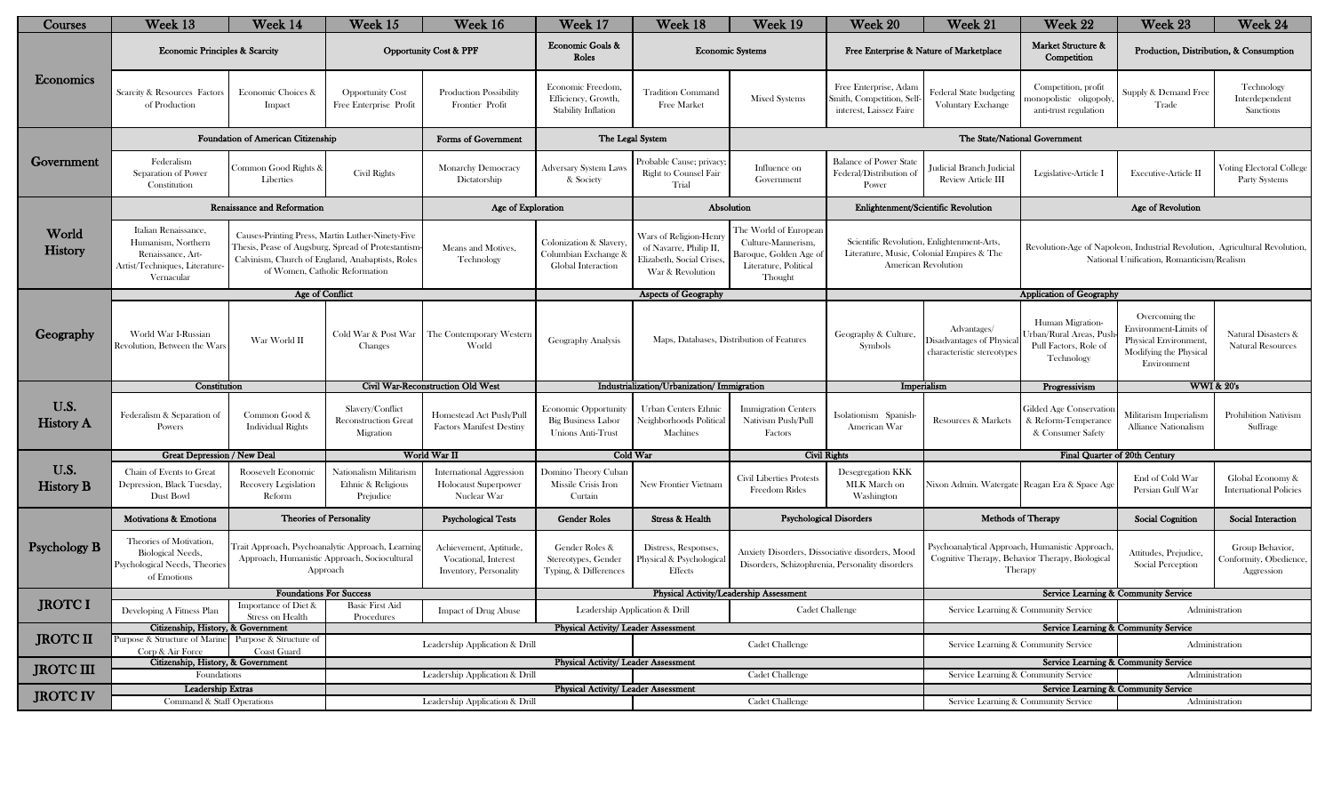| Courses                  | Week 13                                                                                                         | Week 14                                                                                                                                                                                      | Week 15                                                   | Week 16                                                                 | Week 17                                                               | Week 18                                                                                          | Week 19                                                                                                  | Week 20                                                                                            | Week 21                                                                                                               | Week 22                                                                                                      | Week 23                                                                                                                  | Week 24                                                 |  |
|--------------------------|-----------------------------------------------------------------------------------------------------------------|----------------------------------------------------------------------------------------------------------------------------------------------------------------------------------------------|-----------------------------------------------------------|-------------------------------------------------------------------------|-----------------------------------------------------------------------|--------------------------------------------------------------------------------------------------|----------------------------------------------------------------------------------------------------------|----------------------------------------------------------------------------------------------------|-----------------------------------------------------------------------------------------------------------------------|--------------------------------------------------------------------------------------------------------------|--------------------------------------------------------------------------------------------------------------------------|---------------------------------------------------------|--|
| Economics                | <b>Economic Principles &amp; Scarcity</b>                                                                       |                                                                                                                                                                                              | <b>Opportunity Cost &amp; PPF</b>                         |                                                                         | Economic Goals &<br>Roles                                             | <b>Economic Systems</b>                                                                          |                                                                                                          | Free Enterprise & Nature of Marketplace                                                            |                                                                                                                       | Market Structure &<br>Competition                                                                            | Production, Distribution, & Consumption                                                                                  |                                                         |  |
|                          | Scarcity & Resources Factors<br>of Production                                                                   | Economic Choices &<br>Impact                                                                                                                                                                 | <b>Opportunity Cost</b><br>Free Enterprise Profit         | <b>Production Possibility</b><br>Frontier Profit                        | Economic Freedom,<br>Efficiency, Growth,<br>Stability Inflation       | <b>Tradition Command</b><br>Free Market                                                          | <b>Mixed Systems</b>                                                                                     | Free Enterprise, Adan<br>Smith, Competition, Sel<br>interest, Laissez Faire                        | Federal State budgeting<br><b>Voluntary Exchange</b>                                                                  | Competition, profit<br>nonopolistic oligopoly<br>anti-trust regulation                                       | Supply & Demand Free<br>Trade                                                                                            | Technology<br>Interdependent<br>Sanctions               |  |
|                          |                                                                                                                 | Foundation of American Citizenship                                                                                                                                                           |                                                           | Forms of Government                                                     | The Legal System                                                      |                                                                                                  |                                                                                                          |                                                                                                    |                                                                                                                       | The State/National Government                                                                                |                                                                                                                          |                                                         |  |
| Government               | Federalism<br>Separation of Power<br>Constitution                                                               | Common Good Rights &<br>Liberties                                                                                                                                                            | Civil Rights                                              | <b>Monarchy Democracy</b><br>Dictatorship                               | Adversary System Laws<br>& Society                                    | Probable Cause; privacy<br><b>Right to Counsel Fair</b><br>Trial                                 | Influence on<br>Government                                                                               | <b>Balance of Power State</b><br>Federal/Distribution of<br>Power                                  | Judicial Branch Judicial<br>Review Article III                                                                        | Legislative-Article I                                                                                        | <b>Executive-Article II</b>                                                                                              | Voting Electoral College<br>Party Systems               |  |
|                          |                                                                                                                 | Renaissance and Reformation                                                                                                                                                                  |                                                           | Age of Exploration                                                      |                                                                       | Absolution                                                                                       |                                                                                                          |                                                                                                    | Enlightenment/Scientific Revolution                                                                                   |                                                                                                              | Age of Revolution                                                                                                        |                                                         |  |
| World<br>History         | Italian Renaissance,<br>Humanism, Northern<br>Renaissance, Art-<br>Artist/Techniques, Literature-<br>Vernacular | Causes-Printing Press, Martin Luther-Ninety-Five<br>Thesis, Pease of Augsburg, Spread of Protestantisn<br>Calvinism, Church of England, Anabaptists, Roles<br>of Women, Catholic Reformation |                                                           | Means and Motives,<br>Technology                                        | Colonization & Slavery<br>olumbian Exchange &<br>Global Interaction   | Wars of Religion-Henry<br>of Navarre, Philip II.<br>Elizabeth, Social Crises<br>War & Revolution | The World of European<br>Culture-Mannerism,<br>Baroque, Golden Age o<br>Literature, Political<br>Thought |                                                                                                    | Scientific Revolution, Enlightenment-Arts,<br>Literature, Music, Colonial Empires & The<br><b>American Revolution</b> |                                                                                                              | Revolution-Age of Napoleon, Industrial Revolution, Agricultural Revolution,<br>National Unification, Romanticism/Realism |                                                         |  |
|                          |                                                                                                                 | Age of Conflict                                                                                                                                                                              |                                                           |                                                                         |                                                                       | Aspects of Geography                                                                             |                                                                                                          |                                                                                                    |                                                                                                                       | <b>Application of Geography</b>                                                                              |                                                                                                                          |                                                         |  |
| Geography                | World War I-Russian<br>Revolution. Between the Wars                                                             | War World II                                                                                                                                                                                 | Cold War & Post War<br>Changes                            | The Contemporary Western<br>World                                       | Geography Analysis                                                    | Maps, Databases, Distribution of Features                                                        |                                                                                                          | Geography & Culture,<br>Symbols                                                                    | Advantages/<br>Disadvantages of Physica<br>characteristic stereotypes                                                 | Human Migration-<br>rban/Rural Areas, Pus<br>Pull Factors, Role of<br>Technology                             | Overcoming the<br>Environment-Limits of<br>Physical Environment,<br>Modifying the Physical<br>Environment                | Natural Disasters &<br><b>Natural Resources</b>         |  |
|                          | Constitution                                                                                                    |                                                                                                                                                                                              | Civil War-Reconstruction Old West                         |                                                                         | Industrialization/Urbanization/ Immigration                           |                                                                                                  |                                                                                                          |                                                                                                    | Imperialism<br>Progressivism                                                                                          |                                                                                                              | <b>WWI &amp; 20's</b>                                                                                                    |                                                         |  |
| U.S.<br><b>History A</b> | Federalism & Separation of<br>Powers                                                                            | Common Good &<br><b>Individual Rights</b>                                                                                                                                                    | Slavery/Conflict<br>Reconstruction Great<br>Migration     | Homestead Act Push/Pull<br><b>Factors Manifest Destiny</b>              | Economic Opportunit<br><b>Big Business Labor</b><br>Unions Anti-Trust | <b>Urban Centers Ethnic</b><br>Neighborhoods Political<br>Machines                               | <b>Immigration Centers</b><br>Nativism Push/Pull<br>Factors                                              | Isolationism Spanish<br>American War                                                               | Resources & Markets                                                                                                   | Gilded Age Conservatio<br>& Reform-Temperance<br>& Consumer Safety                                           | Militarism Imperialism<br><b>Alliance Nationalism</b>                                                                    | Prohibition Nativism<br>Suffrage                        |  |
|                          | <b>Great Depression / New Deal</b>                                                                              |                                                                                                                                                                                              | World War II                                              |                                                                         | Cold War                                                              |                                                                                                  | <b>Civil Rights</b>                                                                                      |                                                                                                    |                                                                                                                       |                                                                                                              | Final Quarter of 20th Century                                                                                            |                                                         |  |
| U.S.<br><b>History B</b> | Chain of Events to Great<br>Depression, Black Tuesday,<br>Dust Bowl                                             | Roosevelt Economic<br><b>Recovery Legislation</b><br>Reform                                                                                                                                  | Nationalism Militarism<br>Ethnic & Religious<br>Prejudice | <b>International Aggression</b><br>Holocaust Superpower<br>Nuclear War  | <b>Domino Theory Cubar</b><br>Missile Crisis Iron<br>Curtain          | <b>New Frontier Vietnam</b>                                                                      | Civil Liberties Protests<br><b>Freedom Rides</b>                                                         | Desegregation KKK<br>MLK March on<br>Washington                                                    |                                                                                                                       | Nixon Admin. Watergate Reagan Era & Space Age                                                                | End of Cold War<br>Persian Gulf War                                                                                      | Global Economy &<br><b>International Policies</b>       |  |
| <b>Psychology B</b>      | <b>Motivations &amp; Emotions</b>                                                                               | <b>Theories of Personality</b>                                                                                                                                                               |                                                           | <b>Psychological Tests</b>                                              | <b>Gender Roles</b>                                                   | Stress & Health                                                                                  |                                                                                                          | <b>Psychological Disorders</b>                                                                     | Methods of Therapy                                                                                                    |                                                                                                              | Social Cognition                                                                                                         | Social Interaction                                      |  |
|                          | Theories of Motivation.<br><b>Biological Needs,</b><br>Psychological Needs, Theories<br>of Emotions             | `rait Approach, Psychoanalytic Approach, Learnin<br>Approach, Humanistic Approach, Sociocultural<br>Approach                                                                                 |                                                           | Achievement, Aptitude<br>Vocational, Interest<br>Inventory, Personality | Gender Roles &<br>Stereotypes, Gender<br>Typing, & Differences        | Distress, Responses,<br>Physical & Psychological<br>Effects                                      |                                                                                                          | Anxiety Disorders, Dissociative disorders, Mood<br>Disorders, Schizophrenia, Personality disorders |                                                                                                                       | Psychoanalytical Approach, Humanistic Approach<br>Cognitive Therapy, Behavior Therapy, Biological<br>Therapy | Attitudes, Prejudice,<br>Social Perception                                                                               | Group Behavior,<br>Conformity, Obedience,<br>Aggression |  |
|                          | <b>Foundations For Success</b>                                                                                  |                                                                                                                                                                                              |                                                           |                                                                         |                                                                       | Physical Activity/Leadership Assessment                                                          |                                                                                                          |                                                                                                    |                                                                                                                       |                                                                                                              | Service Learning & Community Service                                                                                     |                                                         |  |
| <b>JROTCI</b>            | Developing A Fitness Plan                                                                                       | Importance of Diet &<br>Stress on Health                                                                                                                                                     | <b>Basic First Aid</b><br>Procedures                      | <b>Impact of Drug Abuse</b>                                             | Leadership Application & Drill                                        | <b>Cadet Challenge</b>                                                                           |                                                                                                          |                                                                                                    | Service Learning & Community Service<br>Administration<br>Service Learning & Community Service                        |                                                                                                              |                                                                                                                          |                                                         |  |
| <b>JROTC II</b>          | Citizenship, History, & Government<br>Purpose & Structure of Marine<br>Purpose & Structure of                   |                                                                                                                                                                                              |                                                           |                                                                         |                                                                       | <b>Physical Activity/ Leader Assessment</b>                                                      |                                                                                                          |                                                                                                    |                                                                                                                       |                                                                                                              |                                                                                                                          |                                                         |  |
|                          | Corp & Air Force<br>Coast Guard                                                                                 |                                                                                                                                                                                              | <b>Cadet Challenge</b><br>Leadership Application & Drill  |                                                                         |                                                                       |                                                                                                  |                                                                                                          |                                                                                                    | Administration<br>Service Learning & Community Service                                                                |                                                                                                              |                                                                                                                          |                                                         |  |
| <b>JROTC III</b>         | Citizenship, History, & Government                                                                              |                                                                                                                                                                                              |                                                           | <b>Physical Activity/ Leader Assessment</b>                             |                                                                       |                                                                                                  |                                                                                                          |                                                                                                    |                                                                                                                       | Service Learning & Community Service                                                                         |                                                                                                                          |                                                         |  |
|                          | Foundations                                                                                                     |                                                                                                                                                                                              | Leadership Application & Drill                            |                                                                         |                                                                       |                                                                                                  | <b>Cadet Challenge</b>                                                                                   |                                                                                                    |                                                                                                                       | Service Learning & Community Service<br>Administration                                                       |                                                                                                                          |                                                         |  |
| <b>JROTC IV</b>          | Leadership Extras<br>Command & Staff Operations                                                                 |                                                                                                                                                                                              |                                                           | Leadership Application & Drill                                          |                                                                       | <b>Physical Activity/ Leader Assessment</b><br><b>Cadet Challenge</b>                            |                                                                                                          |                                                                                                    |                                                                                                                       | Service Learning & Community Service<br>Service Learning & Community Service<br>Administration               |                                                                                                                          |                                                         |  |
|                          |                                                                                                                 |                                                                                                                                                                                              |                                                           |                                                                         |                                                                       |                                                                                                  |                                                                                                          |                                                                                                    |                                                                                                                       |                                                                                                              |                                                                                                                          |                                                         |  |